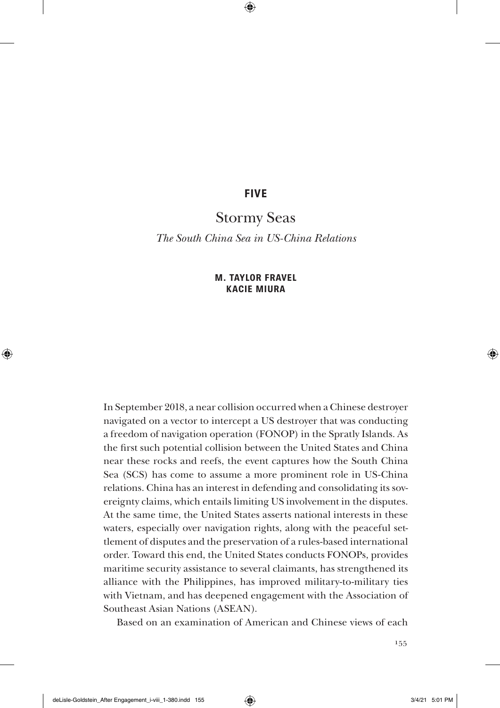# **FIVE**

# Stormy Seas

*The South China Sea in US-China Relations*

## **M. TAYLOR FRAVEL KACIE MIURA**

In September 2018, a near collision occurred when a Chinese destroyer navigated on a vector to intercept a US destroyer that was conducting a freedom of navigation operation (FONOP) in the Spratly Islands. As the first such potential collision between the United States and China near these rocks and reefs, the event captures how the South China Sea (SCS) has come to assume a more prominent role in US-China relations. China has an interest in defending and consolidating its sovereignty claims, which entails limiting US involvement in the disputes. At the same time, the United States asserts national interests in these waters, especially over navigation rights, along with the peaceful settlement of disputes and the preservation of a rules-based international order. Toward this end, the United States conducts FONOPs, provides maritime security assistance to several claimants, has strengthened its alliance with the Philippines, has improved military-to-military ties with Vietnam, and has deepened engagement with the Association of Southeast Asian Nations (ASEAN).

Based on an examination of American and Chinese views of each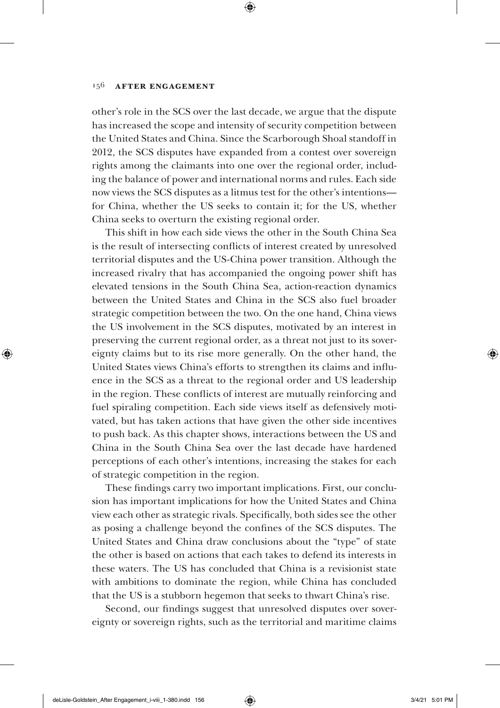other's role in the SCS over the last decade, we argue that the dispute has increased the scope and intensity of security competition between the United States and China. Since the Scarborough Shoal standoff in 2012, the SCS disputes have expanded from a contest over sovereign rights among the claimants into one over the regional order, including the balance of power and international norms and rules. Each side now views the SCS disputes as a litmus test for the other's intentions for China, whether the US seeks to contain it; for the US, whether China seeks to overturn the existing regional order.

This shift in how each side views the other in the South China Sea is the result of intersecting conflicts of interest created by unresolved territorial disputes and the US-China power transition. Although the increased rivalry that has accompanied the ongoing power shift has elevated tensions in the South China Sea, action-reaction dynamics between the United States and China in the SCS also fuel broader strategic competition between the two. On the one hand, China views the US involvement in the SCS disputes, motivated by an interest in preserving the current regional order, as a threat not just to its sovereignty claims but to its rise more generally. On the other hand, the United States views China's efforts to strengthen its claims and influence in the SCS as a threat to the regional order and US leadership in the region. These conflicts of interest are mutually reinforcing and fuel spiraling competition. Each side views itself as defensively motivated, but has taken actions that have given the other side incentives to push back. As this chapter shows, interactions between the US and China in the South China Sea over the last decade have hardened perceptions of each other's intentions, increasing the stakes for each of strategic competition in the region.

These findings carry two important implications. First, our conclusion has important implications for how the United States and China view each other as strategic rivals. Specifically, both sides see the other as posing a challenge beyond the confines of the SCS disputes. The United States and China draw conclusions about the "type" of state the other is based on actions that each takes to defend its interests in these waters. The US has concluded that China is a revisionist state with ambitions to dominate the region, while China has concluded that the US is a stubborn hegemon that seeks to thwart China's rise.

Second, our findings suggest that unresolved disputes over sovereignty or sovereign rights, such as the territorial and maritime claims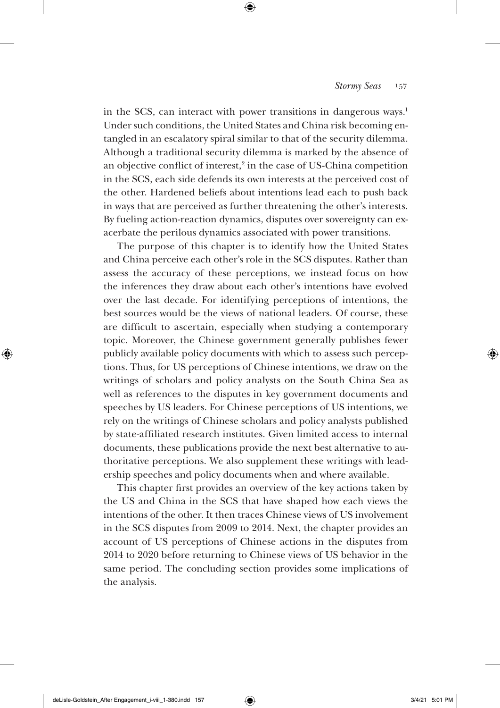in the SCS, can interact with power transitions in dangerous ways.<sup>1</sup> Under such conditions, the United States and China risk becoming entangled in an escalatory spiral similar to that of the security dilemma. Although a traditional security dilemma is marked by the absence of an objective conflict of interest, $2$  in the case of US-China competition in the SCS, each side defends its own interests at the perceived cost of the other. Hardened beliefs about intentions lead each to push back in ways that are perceived as further threatening the other's interests. By fueling action-reaction dynamics, disputes over sovereignty can exacerbate the perilous dynamics associated with power transitions.

The purpose of this chapter is to identify how the United States and China perceive each other's role in the SCS disputes. Rather than assess the accuracy of these perceptions, we instead focus on how the inferences they draw about each other's intentions have evolved over the last decade. For identifying perceptions of intentions, the best sources would be the views of national leaders. Of course, these are difficult to ascertain, especially when studying a contemporary topic. Moreover, the Chinese government generally publishes fewer publicly available policy documents with which to assess such perceptions. Thus, for US perceptions of Chinese intentions, we draw on the writings of scholars and policy analysts on the South China Sea as well as references to the disputes in key government documents and speeches by US leaders. For Chinese perceptions of US intentions, we rely on the writings of Chinese scholars and policy analysts published by state-affiliated research institutes. Given limited access to internal documents, these publications provide the next best alternative to authoritative perceptions. We also supplement these writings with leadership speeches and policy documents when and where available.

This chapter first provides an overview of the key actions taken by the US and China in the SCS that have shaped how each views the intentions of the other. It then traces Chinese views of US involvement in the SCS disputes from 2009 to 2014. Next, the chapter provides an account of US perceptions of Chinese actions in the disputes from 2014 to 2020 before returning to Chinese views of US behavior in the same period. The concluding section provides some implications of the analysis.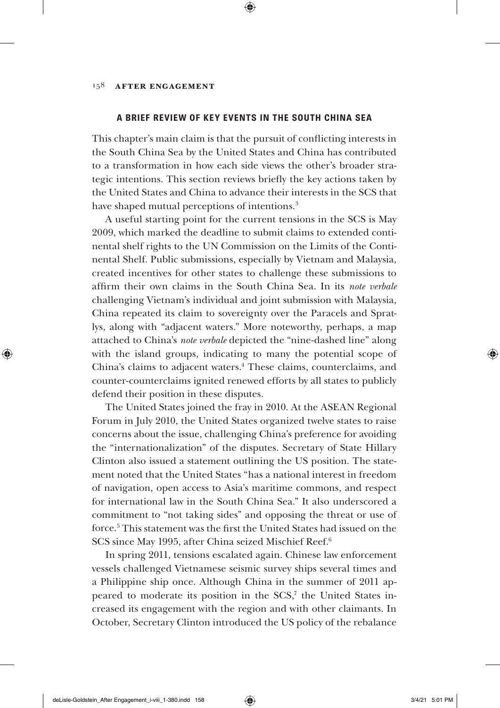### **A BRIEF REVIEW OF KEY EVENTS IN THE SOUTH CHINA SEA**

This chapter's main claim is that the pursuit of conflicting interests in the South China Sea by the United States and China has contributed to a transformation in how each side views the other's broader strategic intentions. This section reviews briefly the key actions taken by the United States and China to advance their interests in the SCS that have shaped mutual perceptions of intentions.<sup>3</sup>

A useful starting point for the current tensions in the SCS is May 2009, which marked the deadline to submit claims to extended continental shelf rights to the UN Commission on the Limits of the Continental Shelf. Public submissions, especially by Vietnam and Malaysia, created incentives for other states to challenge these submissions to affirm their own claims in the South China Sea. In its *note verbale* challenging Vietnam's individual and joint submission with Malaysia, China repeated its claim to sovereignty over the Paracels and Spratlys, along with "adjacent waters." More noteworthy, perhaps, a map attached to China's *note verbale* depicted the "nine-dashed line" along with the island groups, indicating to many the potential scope of China's claims to adjacent waters.4 These claims, counterclaims, and counter-counterclaims ignited renewed efforts by all states to publicly defend their position in these disputes.

The United States joined the fray in 2010. At the ASEAN Regional Forum in July 2010, the United States organized twelve states to raise concerns about the issue, challenging China's preference for avoiding the "internationalization" of the disputes. Secretary of State Hillary Clinton also issued a statement outlining the US position. The statement noted that the United States "has a national interest in freedom of navigation, open access to Asia's maritime commons, and respect for international law in the South China Sea." It also underscored a commitment to "not taking sides" and opposing the threat or use of force.5 This statement was the first the United States had issued on the SCS since May 1995, after China seized Mischief Reef.<sup>6</sup>

In spring 2011, tensions escalated again. Chinese law enforcement vessels challenged Vietnamese seismic survey ships several times and a Philippine ship once. Although China in the summer of 2011 appeared to moderate its position in the SCS,<sup>7</sup> the United States increased its engagement with the region and with other claimants. In October, Secretary Clinton introduced the US policy of the rebalance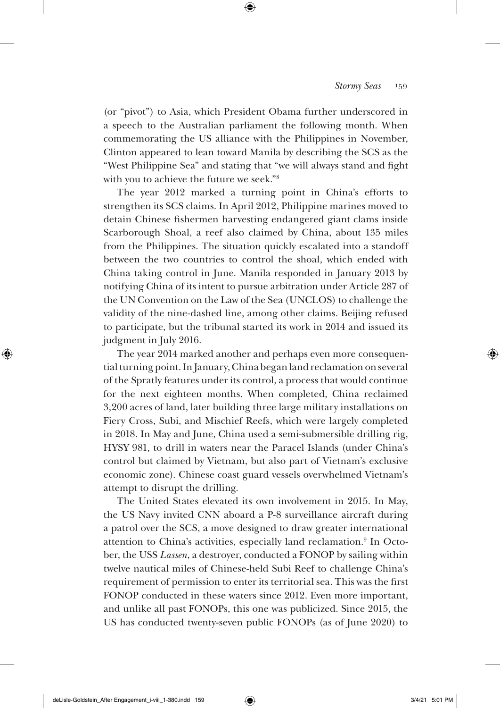(or "pivot") to Asia, which President Obama further underscored in a speech to the Australian parliament the following month. When commemorating the US alliance with the Philippines in November, Clinton appeared to lean toward Manila by describing the SCS as the "West Philippine Sea" and stating that "we will always stand and fight with you to achieve the future we seek."8

The year 2012 marked a turning point in China's efforts to strengthen its SCS claims. In April 2012, Philippine marines moved to detain Chinese fishermen harvesting endangered giant clams inside Scarborough Shoal, a reef also claimed by China, about 135 miles from the Philippines. The situation quickly escalated into a standoff between the two countries to control the shoal, which ended with China taking control in June. Manila responded in January 2013 by notifying China of its intent to pursue arbitration under Article 287 of the UN Convention on the Law of the Sea (UNCLOS) to challenge the validity of the nine-dashed line, among other claims. Beijing refused to participate, but the tribunal started its work in 2014 and issued its judgment in July 2016.

The year 2014 marked another and perhaps even more consequential turning point. In January, China began land reclamation on several of the Spratly features under its control, a process that would continue for the next eighteen months. When completed, China reclaimed 3,200 acres of land, later building three large military installations on Fiery Cross, Subi, and Mischief Reefs, which were largely completed in 2018. In May and June, China used a semi-submersible drilling rig, HYSY 981, to drill in waters near the Paracel Islands (under China's control but claimed by Vietnam, but also part of Vietnam's exclusive economic zone). Chinese coast guard vessels overwhelmed Vietnam's attempt to disrupt the drilling.

The United States elevated its own involvement in 2015. In May, the US Navy invited CNN aboard a P-8 surveillance aircraft during a patrol over the SCS, a move designed to draw greater international attention to China's activities, especially land reclamation.<sup>9</sup> In October, the USS *Lassen*, a destroyer, conducted a FONOP by sailing within twelve nautical miles of Chinese-held Subi Reef to challenge China's requirement of permission to enter its territorial sea. This was the first FONOP conducted in these waters since 2012. Even more important, and unlike all past FONOPs, this one was publicized. Since 2015, the US has conducted twenty-seven public FONOPs (as of June 2020) to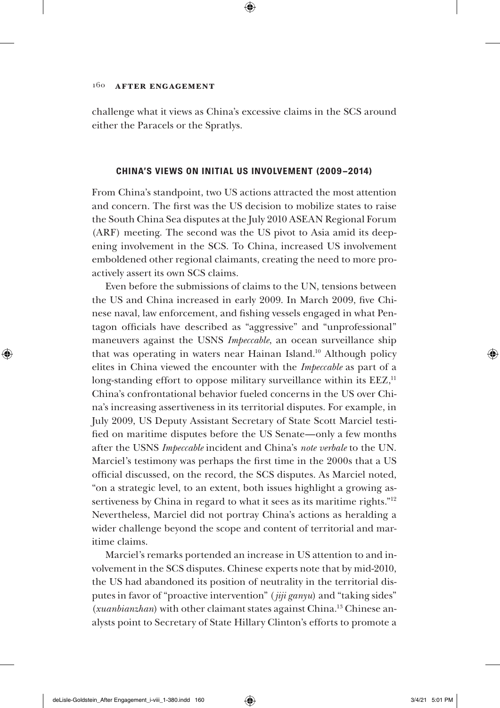challenge what it views as China's excessive claims in the SCS around either the Paracels or the Spratlys.

### **CHINA'S VIEWS ON INITIAL US INVOLVEMENT (2009–2014)**

From China's standpoint, two US actions attracted the most attention and concern. The first was the US decision to mobilize states to raise the South China Sea disputes at the July 2010 ASEAN Regional Forum (ARF) meeting. The second was the US pivot to Asia amid its deepening involvement in the SCS. To China, increased US involvement emboldened other regional claimants, creating the need to more proactively assert its own SCS claims.

Even before the submissions of claims to the UN, tensions between the US and China increased in early 2009. In March 2009, five Chinese naval, law enforcement, and fishing vessels engaged in what Pentagon officials have described as "aggressive" and "unprofessional" maneuvers against the USNS *Impeccable*, an ocean surveillance ship that was operating in waters near Hainan Island.10 Although policy elites in China viewed the encounter with the *Impeccable* as part of a long-standing effort to oppose military surveillance within its EEZ,<sup>11</sup> China's confrontational behavior fueled concerns in the US over China's increasing assertiveness in its territorial disputes. For example, in July 2009, US Deputy Assistant Secretary of State Scott Marciel testified on maritime disputes before the US Senate—only a few months after the USNS *Impeccable* incident and China's *note verbale* to the UN. Marciel's testimony was perhaps the first time in the 2000s that a US official discussed, on the record, the SCS disputes. As Marciel noted, "on a strategic level, to an extent, both issues highlight a growing assertiveness by China in regard to what it sees as its maritime rights."<sup>12</sup> Nevertheless, Marciel did not portray China's actions as heralding a wider challenge beyond the scope and content of territorial and maritime claims.

Marciel's remarks portended an increase in US attention to and involvement in the SCS disputes. Chinese experts note that by mid-2010, the US had abandoned its position of neutrality in the territorial disputes in favor of "proactive intervention" (*jiji ganyu*) and "taking sides" (*xuanbianzhan*) with other claimant states against China.13 Chinese analysts point to Secretary of State Hillary Clinton's efforts to promote a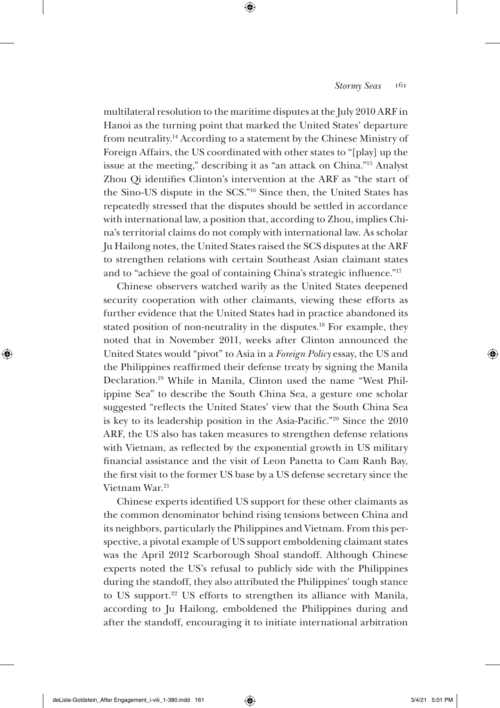multilateral resolution to the maritime disputes at the July 2010 ARF in Hanoi as the turning point that marked the United States' departure from neutrality.14 According to a statement by the Chinese Ministry of Foreign Affairs, the US coordinated with other states to "[play] up the issue at the meeting," describing it as "an attack on China."15 Analyst Zhou Qi identifies Clinton's intervention at the ARF as "the start of the Sino-US dispute in the SCS."16 Since then, the United States has repeatedly stressed that the disputes should be settled in accordance with international law, a position that, according to Zhou, implies China's territorial claims do not comply with international law. As scholar Ju Hailong notes, the United States raised the SCS disputes at the ARF to strengthen relations with certain Southeast Asian claimant states and to "achieve the goal of containing China's strategic influence."17

Chinese observers watched warily as the United States deepened security cooperation with other claimants, viewing these efforts as further evidence that the United States had in practice abandoned its stated position of non-neutrality in the disputes.<sup>18</sup> For example, they noted that in November 2011, weeks after Clinton announced the United States would "pivot" to Asia in a *Foreign Policy* essay, the US and the Philippines reaffirmed their defense treaty by signing the Manila Declaration.19 While in Manila, Clinton used the name "West Philippine Sea" to describe the South China Sea, a gesture one scholar suggested "reflects the United States' view that the South China Sea is key to its leadership position in the Asia-Pacific."20 Since the 2010 ARF, the US also has taken measures to strengthen defense relations with Vietnam, as reflected by the exponential growth in US military financial assistance and the visit of Leon Panetta to Cam Ranh Bay, the first visit to the former US base by a US defense secretary since the Vietnam War.21

Chinese experts identified US support for these other claimants as the common denominator behind rising tensions between China and its neighbors, particularly the Philippines and Vietnam. From this perspective, a pivotal example of US support emboldening claimant states was the April 2012 Scarborough Shoal standoff. Although Chinese experts noted the US's refusal to publicly side with the Philippines during the standoff, they also attributed the Philippines' tough stance to US support.<sup>22</sup> US efforts to strengthen its alliance with Manila, according to Ju Hailong, emboldened the Philippines during and after the standoff, encouraging it to initiate international arbitration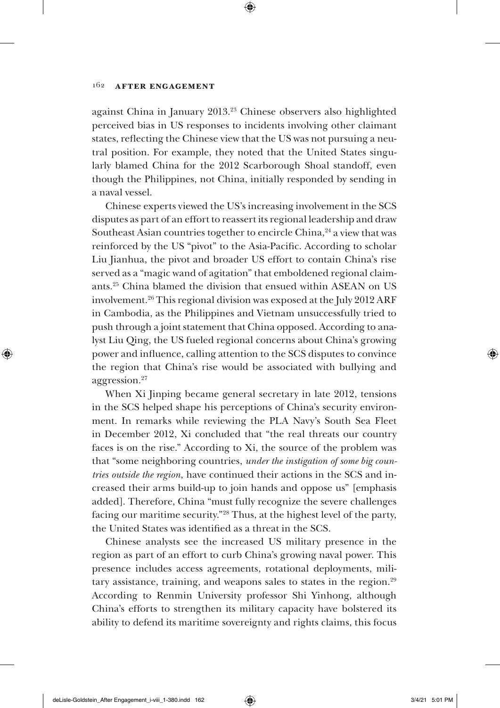against China in January 2013.23 Chinese observers also highlighted perceived bias in US responses to incidents involving other claimant states, reflecting the Chinese view that the US was not pursuing a neutral position. For example, they noted that the United States singularly blamed China for the 2012 Scarborough Shoal standoff, even though the Philippines, not China, initially responded by sending in a naval vessel.

Chinese experts viewed the US's increasing involvement in the SCS disputes as part of an effort to reassert its regional leadership and draw Southeast Asian countries together to encircle China,<sup>24</sup> a view that was reinforced by the US "pivot" to the Asia-Pacific. According to scholar Liu Jianhua, the pivot and broader US effort to contain China's rise served as a "magic wand of agitation" that emboldened regional claimants.25 China blamed the division that ensued within ASEAN on US involvement.26 This regional division was exposed at the July 2012 ARF in Cambodia, as the Philippines and Vietnam unsuccessfully tried to push through a joint statement that China opposed. According to analyst Liu Qing, the US fueled regional concerns about China's growing power and influence, calling attention to the SCS disputes to convince the region that China's rise would be associated with bullying and aggression.27

When Xi Jinping became general secretary in late 2012, tensions in the SCS helped shape his perceptions of China's security environment. In remarks while reviewing the PLA Navy's South Sea Fleet in December 2012, Xi concluded that "the real threats our country faces is on the rise." According to Xi, the source of the problem was that "some neighboring countries, *under the instigation of some big countries outside the region*, have continued their actions in the SCS and increased their arms build-up to join hands and oppose us" [emphasis added]. Therefore, China "must fully recognize the severe challenges facing our maritime security."28 Thus, at the highest level of the party, the United States was identified as a threat in the SCS.

Chinese analysts see the increased US military presence in the region as part of an effort to curb China's growing naval power. This presence includes access agreements, rotational deployments, military assistance, training, and weapons sales to states in the region.<sup>29</sup> According to Renmin University professor Shi Yinhong, although China's efforts to strengthen its military capacity have bolstered its ability to defend its maritime sovereignty and rights claims, this focus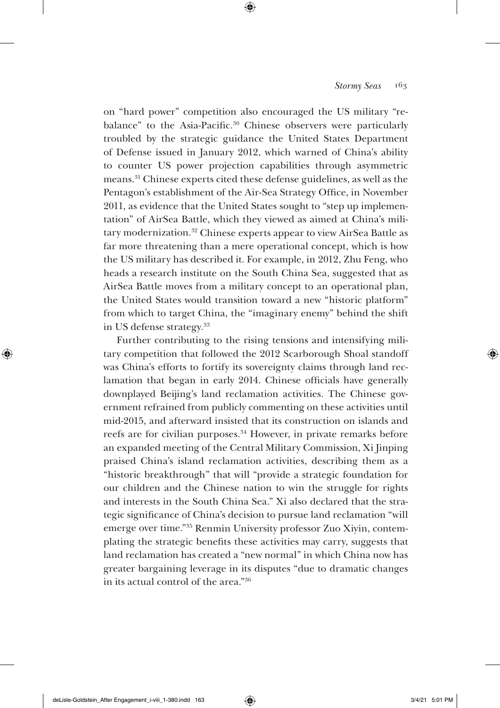on "hard power" competition also encouraged the US military "rebalance" to the Asia-Pacific.<sup>30</sup> Chinese observers were particularly troubled by the strategic guidance the United States Department of Defense issued in January 2012, which warned of China's ability to counter US power projection capabilities through asymmetric means.31 Chinese experts cited these defense guidelines, as well as the Pentagon's establishment of the Air-Sea Strategy Office, in November 2011, as evidence that the United States sought to "step up implementation" of AirSea Battle, which they viewed as aimed at China's military modernization.<sup>32</sup> Chinese experts appear to view AirSea Battle as far more threatening than a mere operational concept, which is how the US military has described it. For example, in 2012, Zhu Feng, who heads a research institute on the South China Sea, suggested that as AirSea Battle moves from a military concept to an operational plan, the United States would transition toward a new "historic platform" from which to target China, the "imaginary enemy" behind the shift in US defense strategy.33

Further contributing to the rising tensions and intensifying military competition that followed the 2012 Scarborough Shoal standoff was China's efforts to fortify its sovereignty claims through land reclamation that began in early 2014. Chinese officials have generally downplayed Beijing's land reclamation activities. The Chinese government refrained from publicly commenting on these activities until mid-2015, and afterward insisted that its construction on islands and reefs are for civilian purposes.34 However, in private remarks before an expanded meeting of the Central Military Commission, Xi Jinping praised China's island reclamation activities, describing them as a "historic breakthrough" that will "provide a strategic foundation for our children and the Chinese nation to win the struggle for rights and interests in the South China Sea." Xi also declared that the strategic significance of China's decision to pursue land reclamation "will emerge over time."35 Renmin University professor Zuo Xiyin, contemplating the strategic benefits these activities may carry, suggests that land reclamation has created a "new normal" in which China now has greater bargaining leverage in its disputes "due to dramatic changes in its actual control of the area."36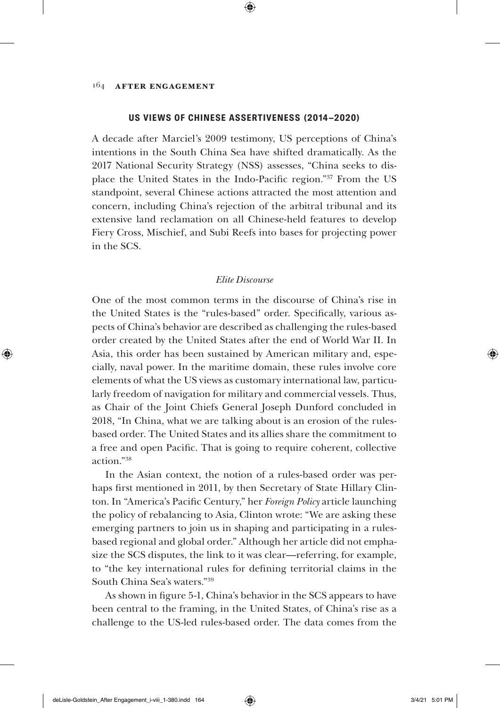#### **US VIEWS OF CHINESE ASSERTIVENESS (2014–2020)**

A decade after Marciel's 2009 testimony, US perceptions of China's intentions in the South China Sea have shifted dramatically. As the 2017 National Security Strategy (NSS) assesses, "China seeks to displace the United States in the Indo-Pacific region."<sup>37</sup> From the US standpoint, several Chinese actions attracted the most attention and concern, including China's rejection of the arbitral tribunal and its extensive land reclamation on all Chinese-held features to develop Fiery Cross, Mischief, and Subi Reefs into bases for projecting power in the SCS.

### *Elite Discourse*

One of the most common terms in the discourse of China's rise in the United States is the "rules-based" order. Specifically, various aspects of China's behavior are described as challenging the rules-based order created by the United States after the end of World War II. In Asia, this order has been sustained by American military and, espe- $\frac{1}{2}$  cially, naval power. In the maritime domain, these rules involve core elements of what the US views as customary international law, particularly freedom of navigation for military and commercial vessels. Thus, as Chair of the Joint Chiefs General Joseph Dunford concluded in 2018, "In China, what we are talking about is an erosion of the rulesbased order. The United States and its allies share the commitment to a free and open Pacific. That is going to require coherent, collective action."38

In the Asian context, the notion of a rules-based order was perhaps first mentioned in 2011, by then Secretary of State Hillary Clinton. In "America's Pacific Century," her *Foreign Policy* article launching the policy of rebalancing to Asia, Clinton wrote: "We are asking these emerging partners to join us in shaping and participating in a rulesbased regional and global order." Although her article did not empha-50 size the SCS disputes, the link to it was clear—referring, for example, to "the key international rules for defining territorial claims in the South China Sea's waters."39 **(a)** and  $\frac{1}{2}$ 

As shown in figure 5-1, China's behavior in the SCS appears to have been central to the framing, in the United States, of China's rise as a challenge to the US-led rules-based order. The data comes from the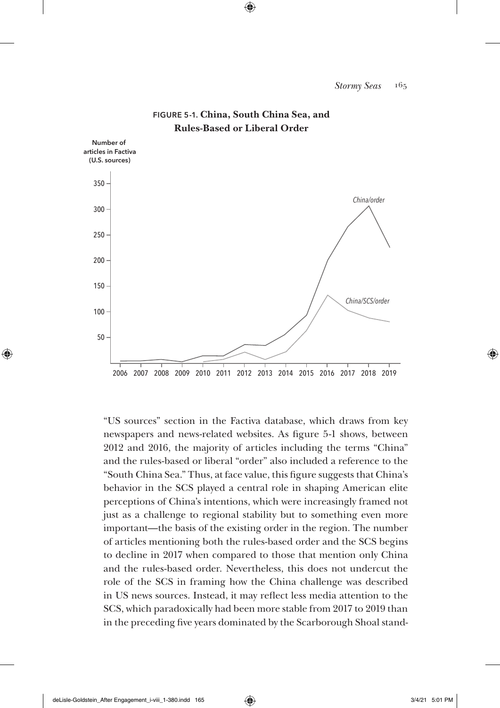

## **FIGURE 5-1. China, South China Sea, and Rules-Based or Liberal Order**

"US sources" section in the Factiva database, which draws from key newspapers and news-related websites. As figure 5-1 shows, between 2012 and 2016, the majority of articles including the terms "China" and the rules-based or liberal "order" also included a reference to the "South China Sea." Thus, at face value, this figure suggests that China's behavior in the SCS played a central role in shaping American elite perceptions of China's intentions, which were increasingly framed not just as a challenge to regional stability but to something even more important—the basis of the existing order in the region. The number of articles mentioning both the rules-based order and the SCS begins to decline in 2017 when compared to those that mention only China and the rules-based order. Nevertheless, this does not undercut the role of the SCS in framing how the China challenge was described in US news sources. Instead, it may reflect less media attention to the SCS, which paradoxically had been more stable from 2017 to 2019 than in the preceding five years dominated by the Scarborough Shoal stand- $\int$  case as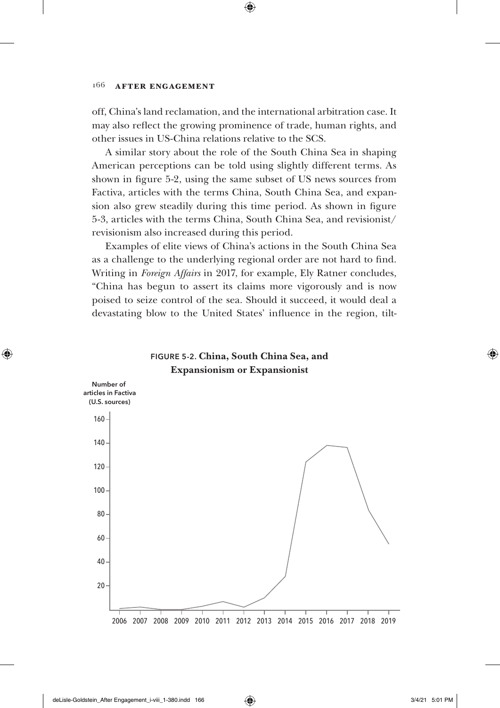off, China's land reclamation, and the international arbitration case. It may also reflect the growing prominence of trade, human rights, and other issues in US-China relations relative to the SCS.  $(2.01)$ 

A similar story about the role of the South China Sea in shaping 20 American perceptions can be told using slightly different terms. As shown in figure 5-2, using the same subset of US news sources from Factiva, articles with the terms China, South China Sea, and expansion also grew steadily during this time period. As shown in figure 5-3, articles with the terms China, South China Sea, and revisionist/ revisionism also increased during this period. 10 *People's Daily Army Daily*

Examples of elite views of China's actions in the South China Sea 8 as a challenge to the underlying regional order are not hard to find. Writing in *Foreign Affairs* in 2017, for example, Ely Ratner concludes, "China has begun to assert its claims more vigorously and is now 2 poised to seize control of the sea. Should it succeed, it would deal a poised to seize control of the sea: bhould it succeed, it would deal a<br>devastating blow to the United States' influence in the region, tiltlevas

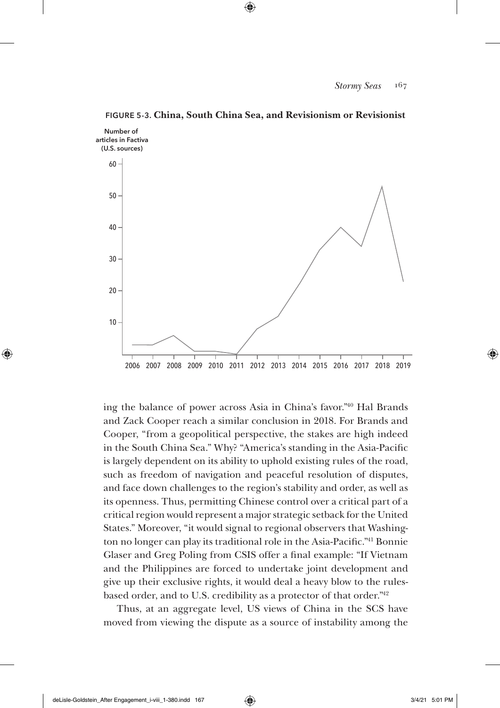

**FIGURE 5-3. China, South China Sea, and Revisionism or Revisionist**

ing the balance of power across Asia in China's favor."40 Hal Brands and Zack Cooper reach a similar conclusion in 2018. For Brands and Cooper, "from a geopolitical perspective, the stakes are high indeed in the South China Sea." Why? "America's standing in the Asia-Pacific is largely dependent on its ability to uphold existing rules of the road, such as freedom of navigation and peaceful resolution of disputes, and face down challenges to the region's stability and order, as well as its openness. Thus, permitting Chinese control over a critical part of a critical region would represent a major strategic setback for the United *U.S. and contain China* States." Moreover, "it would signal to regional observers that Washing-*U.S., contain China, and South China Sea* ton no longer can play its traditional role in the Asia-Pacific.<sup>"41</sup> Bonnie Glaser and Greg Poling from CSIS offer a final example: "If Vietnam and the Philippines are forced to undertake joint development and give up their exclusive rights, it would deal a heavy blow to the rulesbased order, and to U.S. credibility as a protector of that order." $42$ **and** *Jiefangjun Bao*

Thus, at an aggregate level, US views of China in the SCS have moved from viewing the dispute as a source of instability among the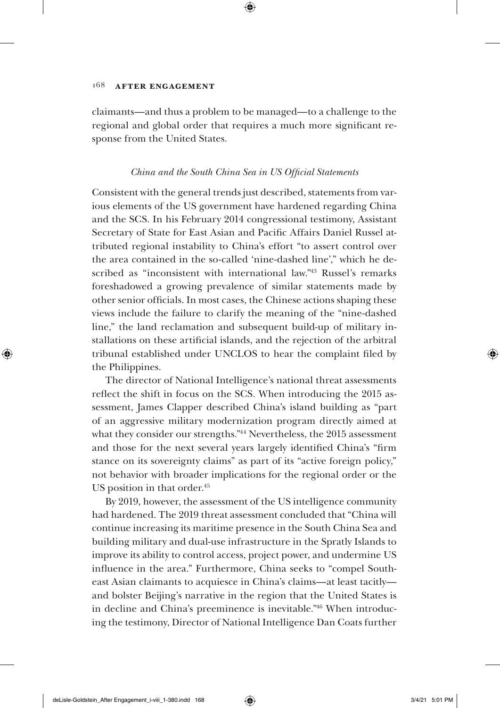claimants—and thus a problem to be managed—to a challenge to the regional and global order that requires a much more significant response from the United States.

# *China and the South China Sea in US Official Statements*

Consistent with the general trends just described, statements from various elements of the US government have hardened regarding China and the SCS. In his February 2014 congressional testimony, Assistant Secretary of State for East Asian and Pacific Affairs Daniel Russel attributed regional instability to China's effort "to assert control over the area contained in the so-called 'nine-dashed line'," which he described as "inconsistent with international law."<sup>43</sup> Russel's remarks foreshadowed a growing prevalence of similar statements made by other senior officials. In most cases, the Chinese actions shaping these views include the failure to clarify the meaning of the "nine-dashed line," the land reclamation and subsequent build-up of military installations on these artificial islands, and the rejection of the arbitral tribunal established under UNCLOS to hear the complaint filed by the Philippines.

The director of National Intelligence's national threat assessments reflect the shift in focus on the SCS. When introducing the 2015 assessment, James Clapper described China's island building as "part of an aggressive military modernization program directly aimed at what they consider our strengths."44 Nevertheless, the 2015 assessment and those for the next several years largely identified China's "firm stance on its sovereignty claims" as part of its "active foreign policy," not behavior with broader implications for the regional order or the US position in that order.<sup>45</sup>

By 2019, however, the assessment of the US intelligence community had hardened. The 2019 threat assessment concluded that "China will continue increasing its maritime presence in the South China Sea and building military and dual-use infrastructure in the Spratly Islands to improve its ability to control access, project power, and undermine US influence in the area." Furthermore, China seeks to "compel Southeast Asian claimants to acquiesce in China's claims—at least tacitly and bolster Beijing's narrative in the region that the United States is in decline and China's preeminence is inevitable."46 When introducing the testimony, Director of National Intelligence Dan Coats further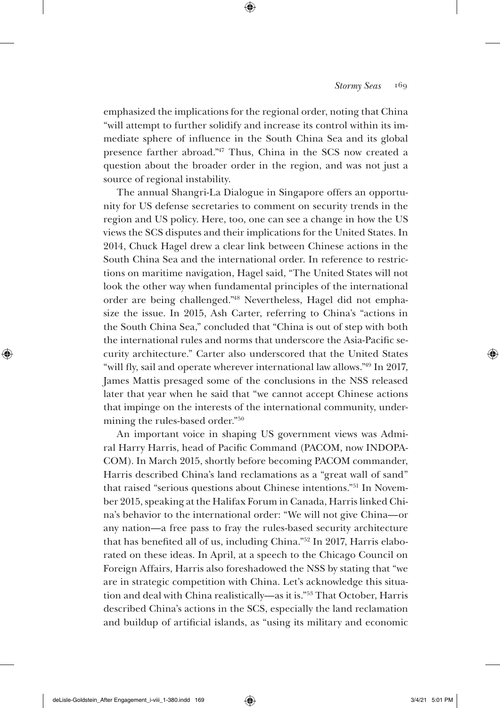emphasized the implications for the regional order, noting that China "will attempt to further solidify and increase its control within its immediate sphere of influence in the South China Sea and its global presence farther abroad."47 Thus, China in the SCS now created a question about the broader order in the region, and was not just a source of regional instability.

The annual Shangri-La Dialogue in Singapore offers an opportunity for US defense secretaries to comment on security trends in the region and US policy. Here, too, one can see a change in how the US views the SCS disputes and their implications for the United States. In 2014, Chuck Hagel drew a clear link between Chinese actions in the South China Sea and the international order. In reference to restrictions on maritime navigation, Hagel said, "The United States will not look the other way when fundamental principles of the international order are being challenged."48 Nevertheless, Hagel did not emphasize the issue. In 2015, Ash Carter, referring to China's "actions in the South China Sea," concluded that "China is out of step with both the international rules and norms that underscore the Asia-Pacific security architecture." Carter also underscored that the United States "will fly, sail and operate wherever international law allows."49 In 2017, James Mattis presaged some of the conclusions in the NSS released later that year when he said that "we cannot accept Chinese actions that impinge on the interests of the international community, undermining the rules-based order."50

An important voice in shaping US government views was Admiral Harry Harris, head of Pacific Command (PACOM, now INDOPA-COM). In March 2015, shortly before becoming PACOM commander, Harris described China's land reclamations as a "great wall of sand" that raised "serious questions about Chinese intentions."51 In November 2015, speaking at the Halifax Forum in Canada, Harris linked China's behavior to the international order: "We will not give China—or any nation—a free pass to fray the rules-based security architecture that has benefited all of us, including China."52 In 2017, Harris elaborated on these ideas. In April, at a speech to the Chicago Council on Foreign Affairs, Harris also foreshadowed the NSS by stating that "we are in strategic competition with China. Let's acknowledge this situation and deal with China realistically—as it is."53 That October, Harris described China's actions in the SCS, especially the land reclamation and buildup of artificial islands, as "using its military and economic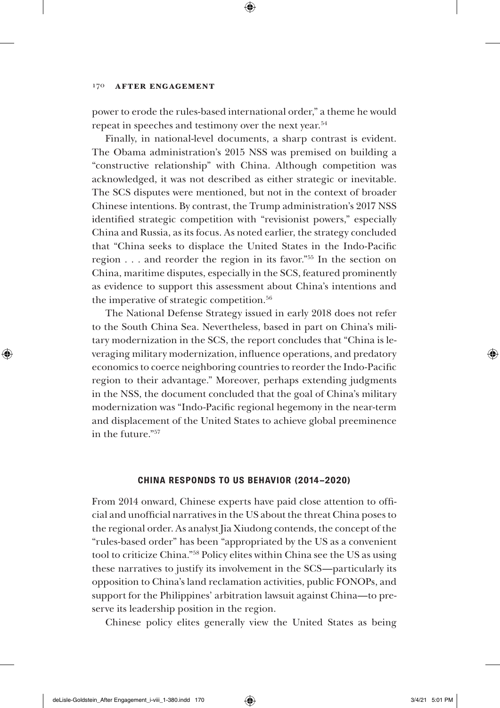power to erode the rules-based international order," a theme he would repeat in speeches and testimony over the next year.54

Finally, in national-level documents, a sharp contrast is evident. The Obama administration's 2015 NSS was premised on building a "constructive relationship" with China. Although competition was acknowledged, it was not described as either strategic or inevitable. The SCS disputes were mentioned, but not in the context of broader Chinese intentions. By contrast, the Trump administration's 2017 NSS identified strategic competition with "revisionist powers," especially China and Russia, as its focus. As noted earlier, the strategy concluded that "China seeks to displace the United States in the Indo-Pacific region . . . and reorder the region in its favor."55 In the section on China, maritime disputes, especially in the SCS, featured prominently as evidence to support this assessment about China's intentions and the imperative of strategic competition.<sup>56</sup>

The National Defense Strategy issued in early 2018 does not refer to the South China Sea. Nevertheless, based in part on China's military modernization in the SCS, the report concludes that "China is leveraging military modernization, influence operations, and predatory economics to coerce neighboring countries to reorder the Indo-Pacific region to their advantage." Moreover, perhaps extending judgments in the NSS, the document concluded that the goal of China's military modernization was "Indo-Pacific regional hegemony in the near-term and displacement of the United States to achieve global preeminence in the future."57

### **CHINA RESPONDS TO US BEHAVIOR (2014–2020)**

From 2014 onward, Chinese experts have paid close attention to official and unofficial narratives in the US about the threat China poses to the regional order. As analyst Jia Xiudong contends, the concept of the "rules-based order" has been "appropriated by the US as a convenient tool to criticize China."58 Policy elites within China see the US as using these narratives to justify its involvement in the SCS—particularly its opposition to China's land reclamation activities, public FONOPs, and support for the Philippines' arbitration lawsuit against China—to preserve its leadership position in the region.

Chinese policy elites generally view the United States as being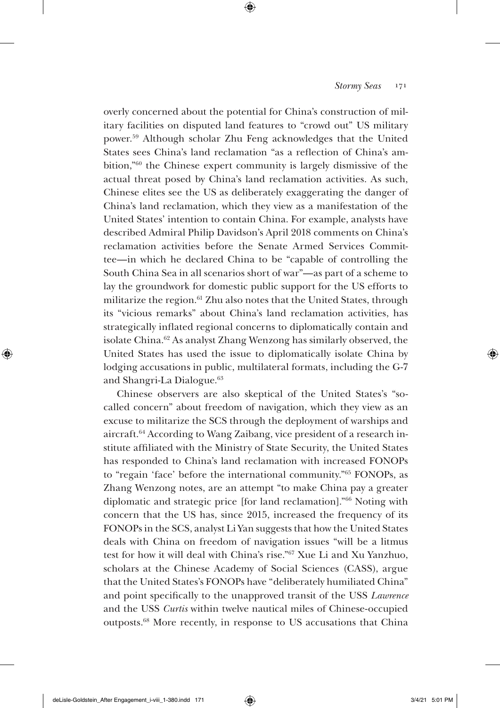overly concerned about the potential for China's construction of military facilities on disputed land features to "crowd out" US military power.59 Although scholar Zhu Feng acknowledges that the United States sees China's land reclamation "as a reflection of China's ambition,"60 the Chinese expert community is largely dismissive of the actual threat posed by China's land reclamation activities. As such, Chinese elites see the US as deliberately exaggerating the danger of China's land reclamation, which they view as a manifestation of the United States' intention to contain China. For example, analysts have described Admiral Philip Davidson's April 2018 comments on China's reclamation activities before the Senate Armed Services Committee—in which he declared China to be "capable of controlling the South China Sea in all scenarios short of war"—as part of a scheme to lay the groundwork for domestic public support for the US efforts to militarize the region.<sup>61</sup> Zhu also notes that the United States, through its "vicious remarks" about China's land reclamation activities, has strategically inflated regional concerns to diplomatically contain and isolate China.62 As analyst Zhang Wenzong has similarly observed, the United States has used the issue to diplomatically isolate China by lodging accusations in public, multilateral formats, including the G-7 and Shangri-La Dialogue.<sup>63</sup>

Chinese observers are also skeptical of the United States's "socalled concern" about freedom of navigation, which they view as an excuse to militarize the SCS through the deployment of warships and aircraft.64 According to Wang Zaibang, vice president of a research institute affiliated with the Ministry of State Security, the United States has responded to China's land reclamation with increased FONOPs to "regain 'face' before the international community."65 FONOPs, as Zhang Wenzong notes, are an attempt "to make China pay a greater diplomatic and strategic price [for land reclamation]."66 Noting with concern that the US has, since 2015, increased the frequency of its FONOPs in the SCS, analyst Li Yan suggests that how the United States deals with China on freedom of navigation issues "will be a litmus test for how it will deal with China's rise."67 Xue Li and Xu Yanzhuo, scholars at the Chinese Academy of Social Sciences (CASS), argue that the United States's FONOPs have "deliberately humiliated China" and point specifically to the unapproved transit of the USS *Lawrence* and the USS *Curtis* within twelve nautical miles of Chinese-occupied outposts.68 More recently, in response to US accusations that China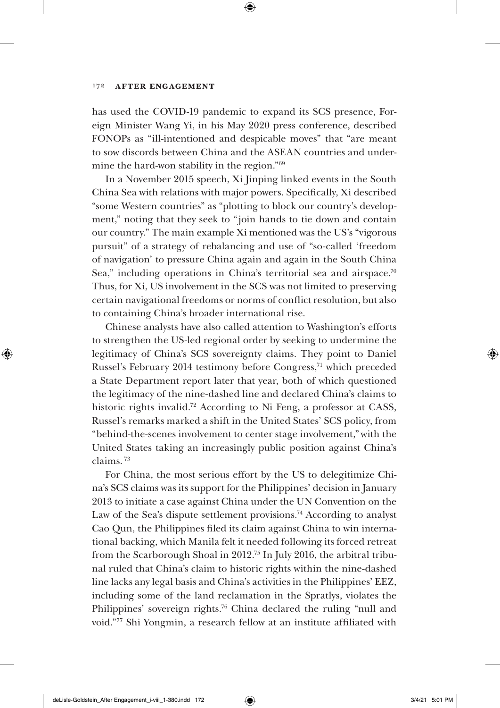#### 172 **After Engagement**

has used the COVID-19 pandemic to expand its SCS presence, Foreign Minister Wang Yi, in his May 2020 press conference, described FONOPs as "ill-intentioned and despicable moves" that "are meant to sow discords between China and the ASEAN countries and undermine the hard-won stability in the region."69

In a November 2015 speech, Xi Jinping linked events in the South China Sea with relations with major powers. Specifically, Xi described "some Western countries" as "plotting to block our country's development," noting that they seek to "join hands to tie down and contain our country." The main example Xi mentioned was the US's "vigorous pursuit" of a strategy of rebalancing and use of "so-called 'freedom of navigation' to pressure China again and again in the South China Sea," including operations in China's territorial sea and airspace.<sup>70</sup> Thus, for Xi, US involvement in the SCS was not limited to preserving certain navigational freedoms or norms of conflict resolution, but also to containing China's broader international rise.

Chinese analysts have also called attention to Washington's efforts to strengthen the US-led regional order by seeking to undermine the legitimacy of China's SCS sovereignty claims. They point to Daniel Russel's February 2014 testimony before Congress,71 which preceded a State Department report later that year, both of which questioned the legitimacy of the nine-dashed line and declared China's claims to historic rights invalid.72 According to Ni Feng, a professor at CASS, Russel's remarks marked a shift in the United States' SCS policy, from "behind-the-scenes involvement to center stage involvement,"with the United States taking an increasingly public position against China's claims. 73

For China, the most serious effort by the US to delegitimize China's SCS claims was its support for the Philippines' decision in January 2013 to initiate a case against China under the UN Convention on the Law of the Sea's dispute settlement provisions.<sup>74</sup> According to analyst Cao Qun, the Philippines filed its claim against China to win international backing, which Manila felt it needed following its forced retreat from the Scarborough Shoal in 2012.75 In July 2016, the arbitral tribunal ruled that China's claim to historic rights within the nine-dashed line lacks any legal basis and China's activities in the Philippines' EEZ, including some of the land reclamation in the Spratlys, violates the Philippines' sovereign rights.76 China declared the ruling "null and void."77 Shi Yongmin, a research fellow at an institute affiliated with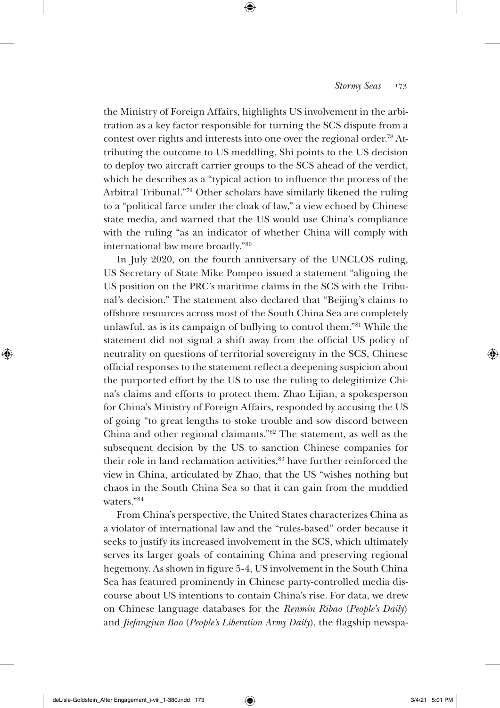the Ministry of Foreign Affairs, highlights US involvement in the arbitration as a key factor responsible for turning the SCS dispute from a contest over rights and interests into one over the regional order.78 Attributing the outcome to US meddling, Shi points to the US decision to deploy two aircraft carrier groups to the SCS ahead of the verdict, which he describes as a "typical action to influence the process of the Arbitral Tribunal."79 Other scholars have similarly likened the ruling to a "political farce under the cloak of law," a view echoed by Chinese state media, and warned that the US would use China's compliance with the ruling "as an indicator of whether China will comply with international law more broadly."80

In July 2020, on the fourth anniversary of the UNCLOS ruling, US Secretary of State Mike Pompeo issued a statement "aligning the US position on the PRC's maritime claims in the SCS with the Tribunal's decision." The statement also declared that "Beijing's claims to offshore resources across most of the South China Sea are completely unlawful, as is its campaign of bullying to control them."81 While the statement did not signal a shift away from the official US policy of neutrality on questions of territorial sovereignty in the SCS, Chinese official responses to the statement reflect a deepening suspicion about the purported effort by the US to use the ruling to delegitimize China's claims and efforts to protect them. Zhao Lijian, a spokesperson for China's Ministry of Foreign Affairs, responded by accusing the US of going "to great lengths to stoke trouble and sow discord between China and other regional claimants."82 The statement, as well as the subsequent decision by the US to sanction Chinese companies for their role in land reclamation activities,<sup>83</sup> have further reinforced the view in China, articulated by Zhao, that the US "wishes nothing but chaos in the South China Sea so that it can gain from the muddied waters<sup>"84</sup>

From China's perspective, the United States characterizes China as a violator of international law and the "rules-based" order because it seeks to justify its increased involvement in the SCS, which ultimately serves its larger goals of containing China and preserving regional hegemony. As shown in figure 5-4, US involvement in the South China Sea has featured prominently in Chinese party-controlled media discourse about US intentions to contain China's rise. For data, we drew on Chinese language databases for the *Renmin Ribao* (*People's Daily*) and *Jiefangjun Bao* (*People's Liberation Army Daily*), the flagship newspa-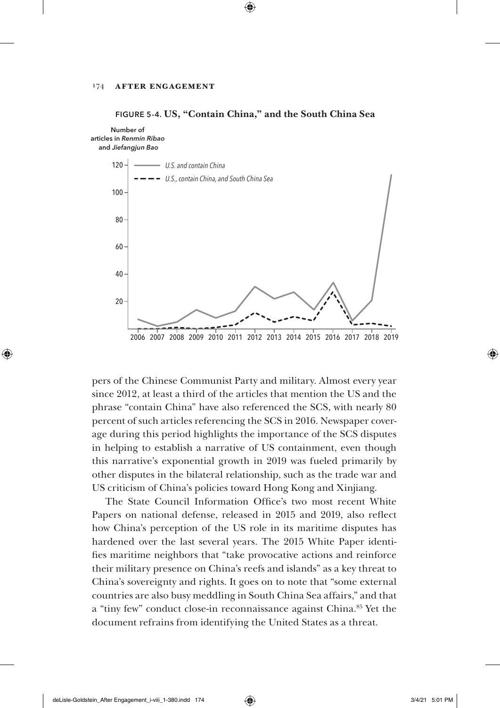



pers of the Chinese Communist Party and military. Almost every year since 2012, at least a third of the articles that mention the US and the phrase "contain China" have also referenced the SCS, with nearly 80 percent of such articles referencing the SCS in 2016. Newspaper coverage during this period highlights the importance of the SCS disputes in helping to establish a narrative of US containment, even though this narrative's exponential growth in 2019 was fueled primarily by other disputes in the bilateral relationship, such as the trade war and US criticism of China's policies toward Hong Kong and Xinjiang.

The State Council Information Office's two most recent White Papers on national defense, released in 2015 and 2019, also reflect how China's perception of the US role in its maritime disputes has hardened over the last several years. The 2015 White Paper identifies maritime neighbors that "take provocative actions and reinforce their military presence on China's reefs and islands" as a key threat to China's sovereignty and rights. It goes on to note that "some external countries are also busy meddling in South China Sea affairs," and that a "tiny few" conduct close-in reconnaissance against China.<sup>85</sup> Yet the document refrains from identifying the United States as a threat.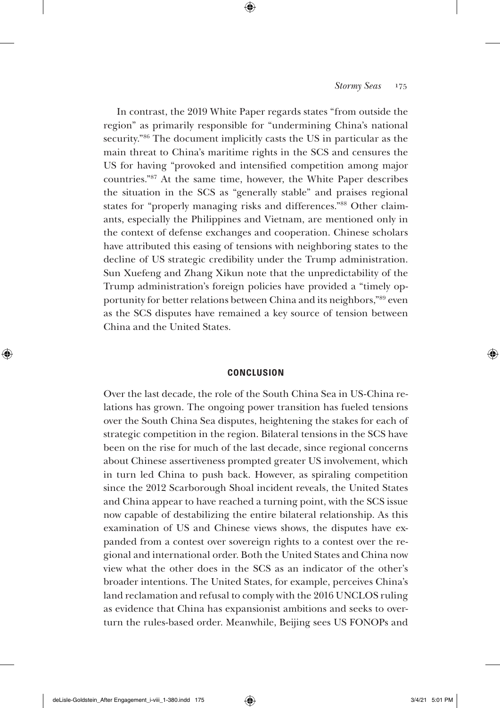In contrast, the 2019 White Paper regards states "from outside the region" as primarily responsible for "undermining China's national security."86 The document implicitly casts the US in particular as the main threat to China's maritime rights in the SCS and censures the US for having "provoked and intensified competition among major countries."87 At the same time, however, the White Paper describes the situation in the SCS as "generally stable" and praises regional states for "properly managing risks and differences."88 Other claimants, especially the Philippines and Vietnam, are mentioned only in the context of defense exchanges and cooperation. Chinese scholars have attributed this easing of tensions with neighboring states to the decline of US strategic credibility under the Trump administration. Sun Xuefeng and Zhang Xikun note that the unpredictability of the Trump administration's foreign policies have provided a "timely opportunity for better relations between China and its neighbors,"89 even as the SCS disputes have remained a key source of tension between China and the United States.

### **CONCLUSION**

Over the last decade, the role of the South China Sea in US-China relations has grown. The ongoing power transition has fueled tensions over the South China Sea disputes, heightening the stakes for each of strategic competition in the region. Bilateral tensions in the SCS have been on the rise for much of the last decade, since regional concerns about Chinese assertiveness prompted greater US involvement, which in turn led China to push back. However, as spiraling competition since the 2012 Scarborough Shoal incident reveals, the United States and China appear to have reached a turning point, with the SCS issue now capable of destabilizing the entire bilateral relationship. As this examination of US and Chinese views shows, the disputes have expanded from a contest over sovereign rights to a contest over the regional and international order. Both the United States and China now view what the other does in the SCS as an indicator of the other's broader intentions. The United States, for example, perceives China's land reclamation and refusal to comply with the 2016 UNCLOS ruling as evidence that China has expansionist ambitions and seeks to overturn the rules-based order. Meanwhile, Beijing sees US FONOPs and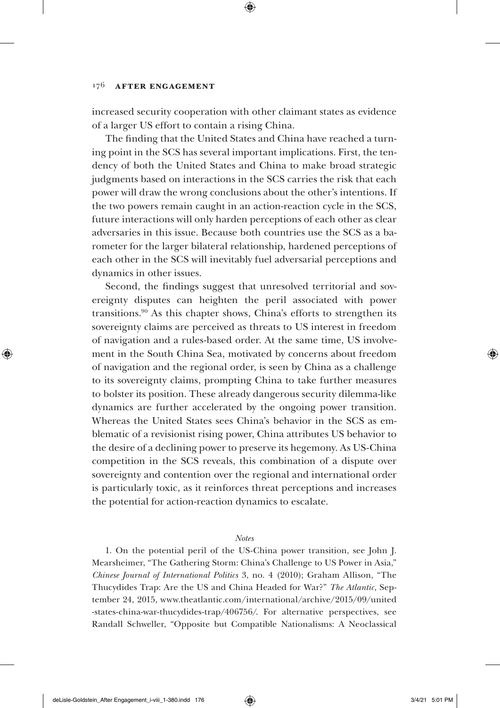increased security cooperation with other claimant states as evidence of a larger US effort to contain a rising China.

The finding that the United States and China have reached a turning point in the SCS has several important implications. First, the tendency of both the United States and China to make broad strategic judgments based on interactions in the SCS carries the risk that each power will draw the wrong conclusions about the other's intentions. If the two powers remain caught in an action-reaction cycle in the SCS, future interactions will only harden perceptions of each other as clear adversaries in this issue. Because both countries use the SCS as a barometer for the larger bilateral relationship, hardened perceptions of each other in the SCS will inevitably fuel adversarial perceptions and dynamics in other issues.

Second, the findings suggest that unresolved territorial and sovereignty disputes can heighten the peril associated with power transitions.90 As this chapter shows, China's efforts to strengthen its sovereignty claims are perceived as threats to US interest in freedom of navigation and a rules-based order. At the same time, US involvement in the South China Sea, motivated by concerns about freedom of navigation and the regional order, is seen by China as a challenge to its sovereignty claims, prompting China to take further measures to bolster its position. These already dangerous security dilemma-like dynamics are further accelerated by the ongoing power transition. Whereas the United States sees China's behavior in the SCS as emblematic of a revisionist rising power, China attributes US behavior to the desire of a declining power to preserve its hegemony. As US-China competition in the SCS reveals, this combination of a dispute over sovereignty and contention over the regional and international order is particularly toxic, as it reinforces threat perceptions and increases the potential for action-reaction dynamics to escalate.

#### *Notes*

1. On the potential peril of the US-China power transition, see John J. Mearsheimer, "The Gathering Storm: China's Challenge to US Power in Asia," *Chinese Journal of International Politics* 3, no. 4 (2010); Graham Allison, "The Thucydides Trap: Are the US and China Headed for War?" *The Atlantic*, September 24, 2015, www.theatlantic.com/international/archive/2015/09/united -states-china-war-thucydides-trap/406756/. For alternative perspectives, see Randall Schweller, "Opposite but Compatible Nationalisms: A Neoclassical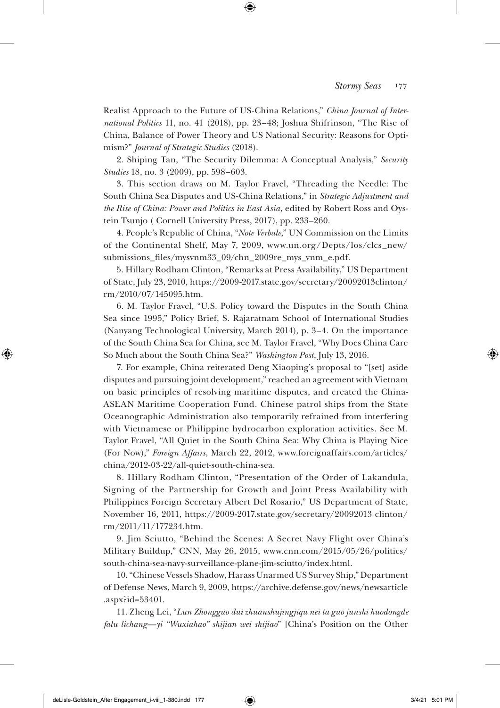Realist Approach to the Future of US-China Relations," *China Journal of International Politics* 11, no. 41 (2018), pp. 23–48; Joshua Shifrinson, "The Rise of China, Balance of Power Theory and US National Security: Reasons for Optimism?" *Journal of Strategic Studies* (2018).

2. Shiping Tan, "The Security Dilemma: A Conceptual Analysis," *Security Studies* 18, no. 3 (2009), pp. 598–603.

3. This section draws on M. Taylor Fravel, "Threading the Needle: The South China Sea Disputes and US-China Relations," in *Strategic Adjustment and the Rise of China: Power and Politics in East Asia*, edited by Robert Ross and Oystein Tsunjo ( Cornell University Press, 2017), pp. 233–260*.*

4. People's Republic of China, "*Note Verbale*," UN Commission on the Limits of the Continental Shelf, May 7, 2009, www.un.org/Depts/los/clcs\_new/ submissions\_files/mysvnm33\_09/chn\_2009re\_mys\_vnm\_e.pdf.

5. Hillary Rodham Clinton, "Remarks at Press Availability," US Department of State, July 23, 2010, https://2009-2017.state.gov/secretary/20092013clinton/ rm/2010/07/145095.htm.

6. M. Taylor Fravel, "U.S. Policy toward the Disputes in the South China Sea since 1995," Policy Brief, S. Rajaratnam School of International Studies (Nanyang Technological University, March 2014), p. 3–4. On the importance of the South China Sea for China, see M. Taylor Fravel, "Why Does China Care So Much about the South China Sea?" *Washington Post*, July 13, 2016.

7. For example, China reiterated Deng Xiaoping's proposal to "[set] aside disputes and pursuing joint development," reached an agreement with Vietnam on basic principles of resolving maritime disputes, and created the China-ASEAN Maritime Cooperation Fund. Chinese patrol ships from the State Oceanographic Administration also temporarily refrained from interfering with Vietnamese or Philippine hydrocarbon exploration activities. See M. Taylor Fravel, "All Quiet in the South China Sea: Why China is Playing Nice (For Now)," *Foreign Affairs*, March 22, 2012, www.foreignaffairs.com/articles/ china/2012-03-22/all-quiet-south-china-sea.

8. Hillary Rodham Clinton, "Presentation of the Order of Lakandula, Signing of the Partnership for Growth and Joint Press Availability with Philippines Foreign Secretary Albert Del Rosario," US Department of State, November 16, 2011, https: / /2009-2017.state.gov/secretary/20092013 clinton/ rm/2011/11/177234.htm.

9. Jim Sciutto, "Behind the Scenes: A Secret Navy Flight over China's Military Buildup," CNN, May 26, 2015, www.cnn.com/2015/05/26/politics/ south-china-sea-navy-surveillance-plane-jim-sciutto/index.html.

10. "Chinese Vessels Shadow, Harass Unarmed US Survey Ship," Department of Defense News, March 9, 2009, https://archive.defense.gov/news/newsarticle .aspx?id=53401.

11. Zheng Lei, "*Lun Zhongguo dui zhuanshujingjiqu nei ta guo junshi huodongde falu lichang—yi "Wuxiahao" shijian wei shijiao*" [China's Position on the Other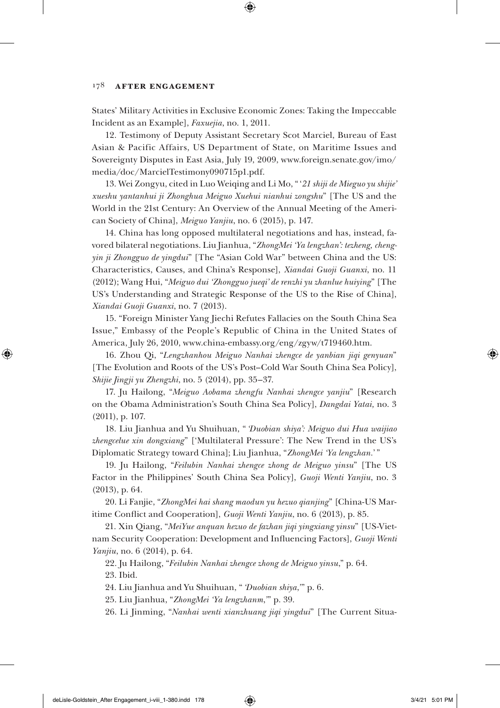### 178 **After Engagement**

States' Military Activities in Exclusive Economic Zones: Taking the Impeccable Incident as an Example], *Faxuejia*, no. 1, 2011.

12. Testimony of Deputy Assistant Secretary Scot Marciel, Bureau of East Asian & Pacific Affairs, US Department of State, on Maritime Issues and Sovereignty Disputes in East Asia, July 19, 2009, www.foreign.senate.gov/imo/ media/doc/MarcielTestimony090715p1.pdf.

13. Wei Zongyu, cited in Luo Weiqing and Li Mo, " '*21 shiji de Mieguo yu shijie' xueshu yantanhui ji Zhonghua Meiguo Xuehui nianhui zongshu*" [The US and the World in the 21st Century: An Overview of the Annual Meeting of the American Society of China], *Meiguo Yanjiu*, no. 6 (2015), p. 147.

14. China has long opposed multilateral negotiations and has, instead, favored bilateral negotiations. Liu Jianhua, "*ZhongMei 'Ya lengzhan': tezheng, chengyin ji Zhongguo de yingdui*" [The "Asian Cold War" between China and the US: Characteristics, Causes, and China's Response], *Xiandai Guoji Guanxi*, no. 11 (2012); Wang Hui, "*Meiguo dui 'Zhongguo jueqi' de renzhi yu zhanlue huiying*" [The US's Understanding and Strategic Response of the US to the Rise of China], *Xiandai Guoji Guanxi*, no. 7 (2013).

15. "Foreign Minister Yang Jiechi Refutes Fallacies on the South China Sea Issue," Embassy of the People's Republic of China in the United States of America, July 26, 2010, www.china-embassy.org/eng/zgyw/t719460.htm.

16. Zhou Qi, "*Lengzhanhou Meiguo Nanhai zhengce de yanbian jiqi genyuan*" [The Evolution and Roots of the US's Post–Cold War South China Sea Policy], *Shijie Jingji yu Zhengzhi*, no. 5 (2014), pp. 35–37.

17. Ju Hailong, "*Meiguo Aobama zhengfu Nanhai zhengce yanjiu*" [Research on the Obama Administration's South China Sea Policy], *Dangdai Yatai,* no. 3 (2011), p. 107.

18. Liu Jianhua and Yu Shuihuan, " *'Duobian shiya': Meiguo dui Hua waijiao zhengcelue xin dongxiang*" ['Multilateral Pressure': The New Trend in the US's Diplomatic Strategy toward China]; Liu Jianhua, "*ZhongMei 'Ya lengzhan.*' "

19. Ju Hailong, "*Feilubin Nanhai zhengce zhong de Meiguo yinsu*" [The US Factor in the Philippines' South China Sea Policy], *Guoji Wenti Yanjiu*, no. 3 (2013), p. 64.

20. Li Fanjie, "*ZhongMei hai shang maodun yu hezuo qianjing*" [China-US Maritime Conflict and Cooperation], *Guoji Wenti Yanjiu*, no. 6 (2013), p. 85.

21. Xin Qiang, "*MeiYue anquan hezuo de fazhan jiqi yingxiang yinsu*" [US-Vietnam Security Cooperation: Development and Influencing Factors], *Guoji Wenti Yanjiu*, no. 6 (2014), p. 64.

22. Ju Hailong, "*Feilubin Nanhai zhengce zhong de Meiguo yinsu*," p. 64. 23. Ibid.

24. Liu Jianhua and Yu Shuihuan, " *'Duobian shiya*,*'* " p. 6.

25. Liu Jianhua, "*ZhongMei 'Ya lengzhanm*,*'* " p. 39.

26. Li Jinming, "*Nanhai wenti xianzhuang jiqi yingdui*" [The Current Situa-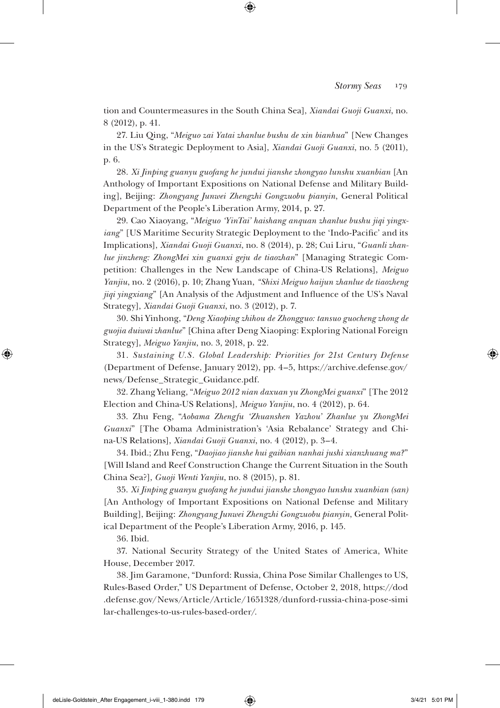tion and Countermeasures in the South China Sea], *Xiandai Guoji Guanxi*, no. 8 (2012), p. 41.

27. Liu Qing, "*Meiguo zai Yatai zhanlue bushu de xin bianhua*" [New Changes in the US's Strategic Deployment to Asia], *Xiandai Guoji Guanxi*, no. 5 (2011), p. 6.

28. *Xi Jinping guanyu guofang he jundui jianshe zhongyao lunshu xuanbian* [An Anthology of Important Expositions on National Defense and Military Building], Beijing: *Zhongyang Junwei Zhengzhi Gongzuobu pianyin*, General Political Department of the People's Liberation Army, 2014, p. 27.

29. Cao Xiaoyang, "*Meiguo 'YinTai' haishang anquan zhanlue bushu jiqi yingxiang*" [US Maritime Security Strategic Deployment to the 'Indo-Pacific' and its Implications], *Xiandai Guoji Guanxi*, no. 8 (2014), p. 28; Cui Liru, "*Guanli zhanlue jinzheng: ZhongMei xin guanxi geju de tiaozhan*" [Managing Strategic Competition: Challenges in the New Landscape of China-US Relations], *Meiguo Yanjiu*, no. 2 (2016), p. 10; Zhang Yuan, *"Shixi Meiguo haijun zhanlue de tiaozheng jiqi yingxiang*" [An Analysis of the Adjustment and Influence of the US's Naval Strategy], *Xiandai Guoji Guanxi*, no. 3 (2012), p. 7.

30. Shi Yinhong, "*Deng Xiaoping zhihou de Zhongguo: tansuo guocheng zhong de guojia duiwai zhanlue*" [China after Deng Xiaoping: Exploring National Foreign Strategy], *Meiguo Yanjiu*, no. 3, 2018, p. 22.

31. *Sustaining U.S. Global Leadership: Priorities for 21st Century Defense* (Department of Defense, January 2012), pp. 4–5, https://archive.defense.gov/ news/Defense\_Strategic\_Guidance.pdf.

32. Zhang Yeliang, "*Meiguo 2012 nian daxuan yu ZhongMei guanxi*" [The 2012 Election and China-US Relations], *Meiguo Yanjiu*, no. 4 (2012), p. 64.

33. Zhu Feng, "*Aobama Zhengfu 'Zhuanshen Yazhou' Zhanlue yu ZhongMei Guanxi*" [The Obama Administration's 'Asia Rebalance' Strategy and China-US Relations], *Xiandai Guoji Guanxi*, no. 4 (2012), p. 3–4.

34. Ibid.; Zhu Feng, "*Daojiao jianshe hui gaibian nanhai jushi xianzhuang ma?*" [Will Island and Reef Construction Change the Current Situation in the South China Sea?], *Guoji Wenti Yanjiu*, no. 8 (2015), p. 81.

35. *Xi Jinping guanyu guofang he jundui jianshe zhongyao lunshu xuanbian (san)*  [An Anthology of Important Expositions on National Defense and Military Building], Beijing: *Zhongyang Junwei Zhengzhi Gongzuobu pianyin*, General Political Department of the People's Liberation Army, 2016, p. 145.

36. Ibid.

37. National Security Strategy of the United States of America, White House, December 2017.

38. Jim Garamone, "Dunford: Russia, China Pose Similar Challenges to US, Rules-Based Order," US Department of Defense, October 2, 2018, https://dod .defense.gov/News/Article/Article/1651328/dunford-russia-china-pose-simi lar-challenges-to-us-rules-based-order/.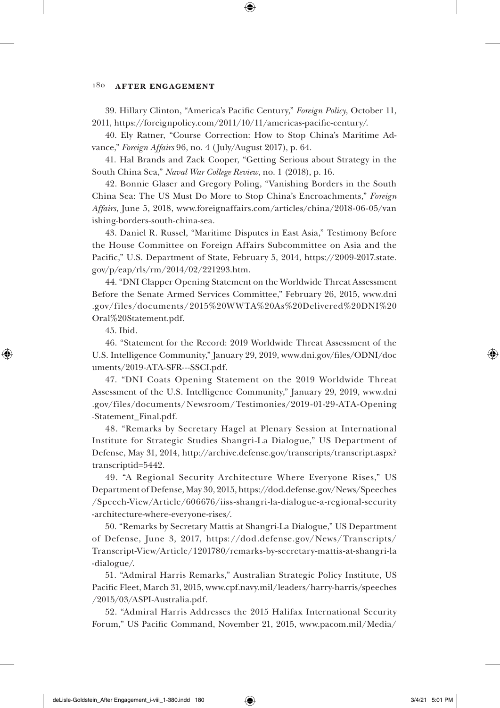### 180 **After Engagement**

39. Hillary Clinton, "America's Pacific Century," *Foreign Policy*, October 11, 2011, https://foreignpolicy.com/2011/10/11/americas-pacific-century/.

40. Ely Ratner, "Course Correction: How to Stop China's Maritime Advance," *Foreign Affairs* 96, no. 4 (July/August 2017), p. 64.

41. Hal Brands and Zack Cooper, "Getting Serious about Strategy in the South China Sea," *Naval War College Review*, no. 1 (2018), p. 16.

42. Bonnie Glaser and Gregory Poling, "Vanishing Borders in the South China Sea: The US Must Do More to Stop China's Encroachments," *Foreign Affairs*, June 5, 2018, www.foreignaffairs.com/articles/china/2018-06-05/van ishing-borders-south-china-sea.

43. Daniel R. Russel, "Maritime Disputes in East Asia," Testimony Before the House Committee on Foreign Affairs Subcommittee on Asia and the Pacific," U.S. Department of State, February 5, 2014, https://2009-2017.state. gov/p/eap/rls/rm/2014/02/221293.htm.

44. "DNI Clapper Opening Statement on the Worldwide Threat Assessment Before the Senate Armed Services Committee," February 26, 2015, www.dni .gov/files/documents/2015%20WWTA%20As%20Delivered%20DNI%20 Oral%20Statement.pdf.

45. Ibid.

46. "Statement for the Record: 2019 Worldwide Threat Assessment of the U.S. Intelligence Community," January 29, 2019, www.dni.gov/files/ODNI/doc uments/2019-ATA-SFR---SSCI.pdf.

47. "DNI Coats Opening Statement on the 2019 Worldwide Threat Assessment of the U.S. Intelligence Community," January 29, 2019, www.dni .gov/files/documents/Newsroom/Testimonies/2019-01-29-ATA-Opening -Statement\_Final.pdf.

48. "Remarks by Secretary Hagel at Plenary Session at International Institute for Strategic Studies Shangri-La Dialogue," US Department of Defense, May 31, 2014, http://archive.defense.gov/transcripts/transcript.aspx? transcriptid=5442.

49. "A Regional Security Architecture Where Everyone Rises," US Department of Defense, May 30, 2015, https://dod.defense.gov/News/Speeches /Speech-View/Article/606676/iiss-shangri-la-dialogue-a-regional-security -architecture-where-everyone-rises/.

50. "Remarks by Secretary Mattis at Shangri-La Dialogue," US Department of Defense, June 3, 2017, https: / /dod.defense.gov/News/Transcripts/ Transcript-View/Article/1201780/remarks-by-secretary-mattis-at-shangri-la -dialogue/.

51. "Admiral Harris Remarks," Australian Strategic Policy Institute, US Pacific Fleet, March 31, 2015, www.cpf.navy.mil/leaders/harry-harris/speeches /2015/03/ASPI-Australia.pdf.

52. "Admiral Harris Addresses the 2015 Halifax International Security Forum," US Pacific Command, November 21, 2015, www.pacom.mil/Media/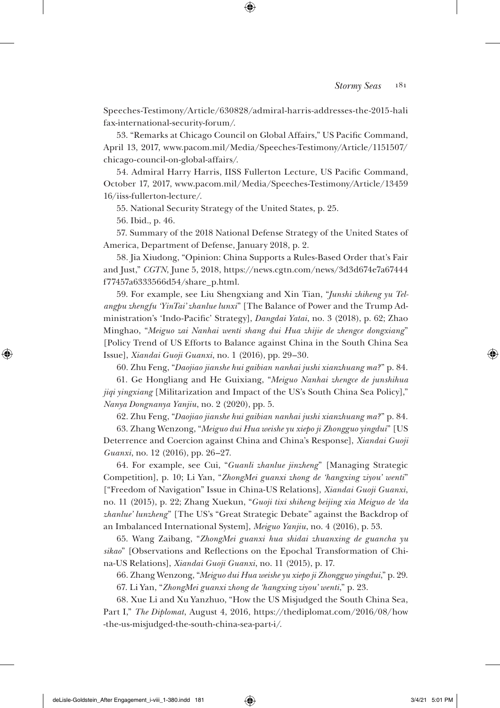Speeches-Testimony/Article/630828/admiral-harris-addresses-the-2015-hali fax-international-security-forum/.

53. "Remarks at Chicago Council on Global Affairs," US Pacific Command, April 13, 2017, www.pacom.mil/Media/Speeches-Testimony/Article/1151507/ chicago-council-on-global-affairs/.

54. Admiral Harry Harris, IISS Fullerton Lecture, US Pacific Command, October 17, 2017, www.pacom.mil/Media/Speeches-Testimony/Article/13459 16/iiss-fullerton-lecture/.

55. National Security Strategy of the United States, p. 25.

56. Ibid., p. 46.

57. Summary of the 2018 National Defense Strategy of the United States of America, Department of Defense, January 2018, p. 2.

58. Jia Xiudong, "Opinion: China Supports a Rules-Based Order that's Fair and Just," *CGTN*, June 5, 2018, https://news.cgtn.com/news/3d3d674e7a67444 f77457a6333566d54/share\_p.html.

59. For example, see Liu Shengxiang and Xin Tian, "*Junshi zhiheng yu Telangpu zhengfu 'YinTai' zhanlue lunxi*" [The Balance of Power and the Trump Administration's 'Indo-Pacific' Strategy], *Dangdai Yatai*, no. 3 (2018), p. 62; Zhao Minghao, "*Meiguo zai Nanhai wenti shang dui Hua zhijie de zhengce dongxiang*" [Policy Trend of US Efforts to Balance against China in the South China Sea Issue], *Xiandai Guoji Guanxi*, no. 1 (2016), pp. 29–30.

60. Zhu Feng, "*Daojiao jianshe hui gaibian nanhai jushi xianzhuang ma?*" p. 84.

61. Ge Hongliang and He Guixiang, "*Meiguo Nanhai zhengce de junshihua jiqi yingxiang* [Militarization and Impact of the US's South China Sea Policy]," *Nanya Dongnanya Yanjiu*, no. 2 (2020), pp. 5.

62. Zhu Feng, "*Daojiao jianshe hui gaibian nanhai jushi xianzhuang ma?*" p. 84.

63. Zhang Wenzong, "*Meiguo dui Hua weishe yu xiepo ji Zhongguo yingdui*" [US Deterrence and Coercion against China and China's Response], *Xiandai Guoji Guanxi*, no. 12 (2016), pp. 26–27.

64. For example, see Cui, "*Guanli zhanlue jinzheng*" [Managing Strategic Competition], p. 10; Li Yan, "*ZhongMei guanxi zhong de 'hangxing ziyou' wenti*" ["Freedom of Navigation" Issue in China-US Relations], *Xiandai Guoji Guanxi*, no. 11 (2015), p. 22; Zhang Xuekun, "*Guoji tixi shiheng beijing xia Meiguo de 'da zhanlue' lunzheng*" [The US's "Great Strategic Debate" against the Backdrop of an Imbalanced International System], *Meiguo Yanjiu*, no. 4 (2016), p. 53.

65. Wang Zaibang, "*ZhongMei guanxi hua shidai zhuanxing de guancha yu sikao*" [Observations and Reflections on the Epochal Transformation of China-US Relations], *Xiandai Guoji Guanxi*, no. 11 (2015), p. 17.

66. Zhang Wenzong, "*Meiguo dui Hua weishe yu xiepo ji Zhongguo yingdui*," p. 29.

67. Li Yan, "*ZhongMei guanxi zhong de 'hangxing ziyou' wenti*," p. 23.

68. Xue Li and Xu Yanzhuo, "How the US Misjudged the South China Sea, Part I," *The Diplomat*, August 4, 2016, https://thediplomat.com/2016/08/how -the-us-misjudged-the-south-china-sea-part-i/.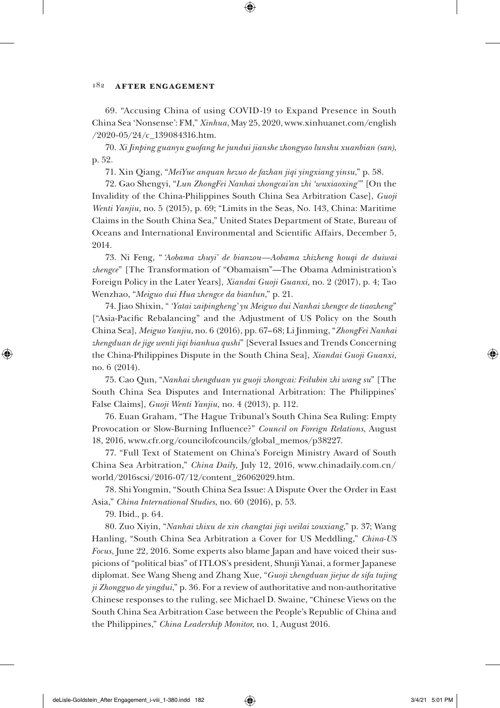### 182 **After Engagement**

69. "Accusing China of using COVID-19 to Expand Presence in South China Sea 'Nonsense': FM," *Xinhua*, May 25, 2020, www.xinhuanet.com/english /2020-05/24/c\_139084316.htm.

70. *Xi Jinping guanyu guofang he jundui jianshe zhongyao lunshu xuanbian (san)*, p. 52.

71. Xin Qiang, "*MeiYue anquan hezuo de fazhan jiqi yingxiang yinsu*," p. 58.

72. Gao Shengyi, "*Lun ZhongFei Nanhai zhongcai'an zhi 'wuxiaoxing'* " [On the Invalidity of the China-Philippines South China Sea Arbitration Case], *Guoji Wenti Yanjiu*, no. 5 (2015), p. 69; "Limits in the Seas, No. 143, China: Maritime Claims in the South China Sea," United States Department of State, Bureau of Oceans and International Environmental and Scientific Affairs, December 5, 2014.

73. Ni Feng, " *'Aobama zhuyi' de bianzou—Aobama zhizheng houqi de duiwai zhengce*" [The Transformation of "Obamaism"—The Obama Administration's Foreign Policy in the Later Years], *Xiandai Guoji Guanxi,* no. 2 (2017), p. 4; Tao Wenzhao, "*Meiguo dui Hua zhengce da bianlun*," p. 21.

74. Jiao Shixin, " *'Yatai zaipingheng' yu Meiguo dui Nanhai zhengce de tiaozheng*" ["Asia-Pacific Rebalancing" and the Adjustment of US Policy on the South China Sea], *Meiguo Yanjiu*, no. 6 (2016), pp. 67–68; Li Jinming, "*ZhongFei Nanhai zhengduan de jige wenti jiqi bianhua qushi*" [Several Issues and Trends Concerning the China-Philippines Dispute in the South China Sea], *Xiandai Guoji Guanxi*, no. 6 (2014).

75. Cao Qun, "*Nanhai zhengduan yu guoji zhongcai: Feilubin zhi wang su*" [The South China Sea Disputes and International Arbitration: The Philippines' False Claims], *Guoji Wenti Yanjiu,* no. 4 (2013), p. 112.

76. Euan Graham, "The Hague Tribunal's South China Sea Ruling: Empty Provocation or Slow-Burning Influence?" *Council on Foreign Relations*, August 18, 2016, www.cfr.org/councilofcouncils/global\_memos/p38227.

77. "Full Text of Statement on China's Foreign Ministry Award of South China Sea Arbitration," *China Daily,* July 12, 2016, www.chinadaily.com.cn/ world/2016scsi/2016-07/12/content\_26062029.htm.

78. Shi Yongmin, "South China Sea Issue: A Dispute Over the Order in East Asia," *China International Studies*, no. 60 (2016), p. 53.

79. Ibid., p. 64.

80. Zuo Xiyin, "*Nanhai zhixu de xin changtai jiqi weilai zouxiang*," p. 37; Wang Hanling, "South China Sea Arbitration a Cover for US Meddling," *China-US Focus*, June 22, 2016. Some experts also blame Japan and have voiced their suspicions of "political bias" of ITLOS's president, Shunji Yanai, a former Japanese diplomat. See Wang Sheng and Zhang Xue, "*Guoji zhengduan jiejue de sifa tujing ji Zhongguo de yingdui*," p. 36. For a review of authoritative and non-authoritative Chinese responses to the ruling, see Michael D. Swaine, "Chinese Views on the South China Sea Arbitration Case between the People's Republic of China and the Philippines," *China Leadership Monitor*, no. 1, August 2016.